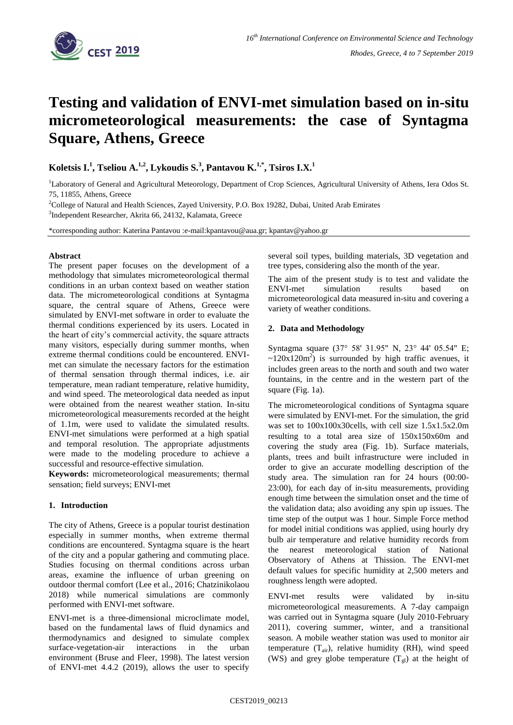

# **Testing and validation of ENVI-met simulation based on in-situ micrometeorological measurements: the case of Syntagma Square, Athens, Greece**

**Koletsis I.<sup>1</sup> , Tseliou A.1,2 , Lykoudis S.<sup>3</sup> , Pantavou K.1,\* , Tsiros I.X.<sup>1</sup>**

<sup>1</sup>Laboratory of General and Agricultural Meteorology, Department of Crop Sciences, Agricultural University of Athens, Iera Odos St. 75, 11855, Athens, Greece

<sup>2</sup>College of Natural and Health Sciences, Zayed University, P.O. Box 19282, Dubai, United Arab Emirates 3 Independent Researcher, Akrita 66, 24132, Kalamata, Greece

\*corresponding author: Katerina Pantavou :e-mail:kpantavou@aua.gr; kpantav@yahoo.gr

## **Abstract**

The present paper focuses on the development of a methodology that simulates micrometeorological thermal conditions in an urban context based on weather station data. The micrometeorological conditions at Syntagma square, the central square of Athens, Greece were simulated by ENVI-met software in order to evaluate the thermal conditions experienced by its users. Located in the heart of city's commercial activity, the square attracts many visitors, especially during summer months, when extreme thermal conditions could be encountered. ENVImet can simulate the necessary factors for the estimation of thermal sensation through thermal indices, i.e. air temperature, mean radiant temperature, relative humidity, and wind speed. The meteorological data needed as input were obtained from the nearest weather station. In-situ micrometeorological measurements recorded at the height of 1.1m, were used to validate the simulated results. ENVI-met simulations were performed at a high spatial and temporal resolution. The appropriate adjustments were made to the modeling procedure to achieve a successful and resource-effective simulation.

**Keywords:** micrometeorological measurements; thermal sensation; field surveys; ENVI-met

## **1. Introduction**

The city of Athens, Greece is a popular tourist destination especially in summer months, when extreme thermal conditions are encountered. Syntagma square is the heart of the city and a popular gathering and commuting place. Studies focusing on thermal conditions across urban areas, examine the influence of urban greening on outdoor thermal comfort (Lee et al., 2016; Chatzinikolaou 2018) while numerical simulations are commonly performed with ENVI-met software.

ENVI-met is a three-dimensional microclimate model, based on the fundamental laws of fluid dynamics and thermodynamics and designed to simulate complex surface-vegetation-air interactions in the urban environment (Bruse and Fleer, 1998). The latest version of ENVI-met 4.4.2 (2019), allows the user to specify

several soil types, building materials, 3D vegetation and tree types, considering also the month of the year.

The aim of the present study is to test and validate the ENVI-met simulation results based on micrometeorological data measured in-situ and covering a variety of weather conditions.

# **2. Data and Methodology**

Syntagma square (37° 58' 31.95" N, 23° 44' 05.54" E;  $\sim$ 120x120m<sup>2</sup>) is surrounded by high traffic avenues, it includes green areas to the north and south and two water fountains, in the centre and in the western part of the square (Fig. 1a).

The micrometeorological conditions of Syntagma square were simulated by ENVI-met. For the simulation, the grid was set to 100x100x30cells, with cell size 1.5x1.5x2.0m resulting to a total area size of 150x150x60m and covering the study area (Fig. 1b). Surface materials, plants, trees and built infrastructure were included in order to give an accurate modelling description of the study area. The simulation ran for 24 hours (00:00- 23:00), for each day of in-situ measurements, providing enough time between the simulation onset and the time of the validation data; also avoiding any spin up issues. The time step of the output was 1 hour. Simple Force method for model initial conditions was applied, using hourly dry bulb air temperature and relative humidity records from the nearest meteorological station of National Observatory of Athens at Thission. The ENVI-met default values for specific humidity at 2,500 meters and roughness length were adopted.

ENVI-met results were validated by in-situ micrometeorological measurements. A 7-day campaign was carried out in Syntagma square (July 2010-February 2011), covering summer, winter, and a transitional season. A mobile weather station was used to monitor air temperature  $(T_{air})$ , relative humidity (RH), wind speed (WS) and grey globe temperature  $(T<sub>gl</sub>)$  at the height of